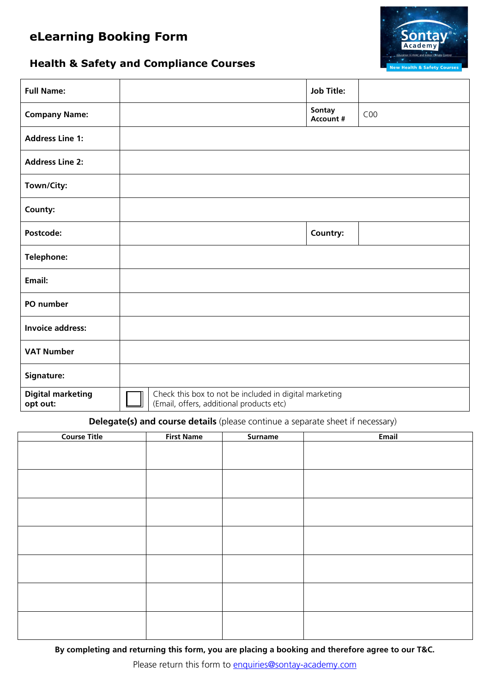# **eLearning Booking Form**



## **Health & Safety and Compliance Courses**

| <b>Full Name:</b>                    |                                                                                                    |  | <b>Job Title:</b>          |     |
|--------------------------------------|----------------------------------------------------------------------------------------------------|--|----------------------------|-----|
| <b>Company Name:</b>                 |                                                                                                    |  | Sontay<br><b>Account #</b> | COO |
| <b>Address Line 1:</b>               |                                                                                                    |  |                            |     |
| <b>Address Line 2:</b>               |                                                                                                    |  |                            |     |
| Town/City:                           |                                                                                                    |  |                            |     |
| County:                              |                                                                                                    |  |                            |     |
| Postcode:                            |                                                                                                    |  | Country:                   |     |
| <b>Telephone:</b>                    |                                                                                                    |  |                            |     |
| Email:                               |                                                                                                    |  |                            |     |
| PO number                            |                                                                                                    |  |                            |     |
| <b>Invoice address:</b>              |                                                                                                    |  |                            |     |
| <b>VAT Number</b>                    |                                                                                                    |  |                            |     |
| Signature:                           |                                                                                                    |  |                            |     |
| <b>Digital marketing</b><br>opt out: | Check this box to not be included in digital marketing<br>(Email, offers, additional products etc) |  |                            |     |

#### **Delegate(s) and course details** (please continue a separate sheet if necessary)

| <b>Course Title</b> | <b>First Name</b> | <b>Surname</b> | <b>Email</b> |
|---------------------|-------------------|----------------|--------------|
|                     |                   |                |              |
|                     |                   |                |              |
|                     |                   |                |              |
|                     |                   |                |              |
|                     |                   |                |              |
|                     |                   |                |              |
|                     |                   |                |              |
|                     |                   |                |              |
|                     |                   |                |              |
|                     |                   |                |              |
|                     |                   |                |              |
|                     |                   |                |              |
|                     |                   |                |              |
|                     |                   |                |              |
|                     |                   |                |              |
|                     |                   |                |              |
|                     |                   |                |              |
|                     |                   |                |              |

**By completing and returning this form, you are placing a booking and therefore agree to our T&C.**